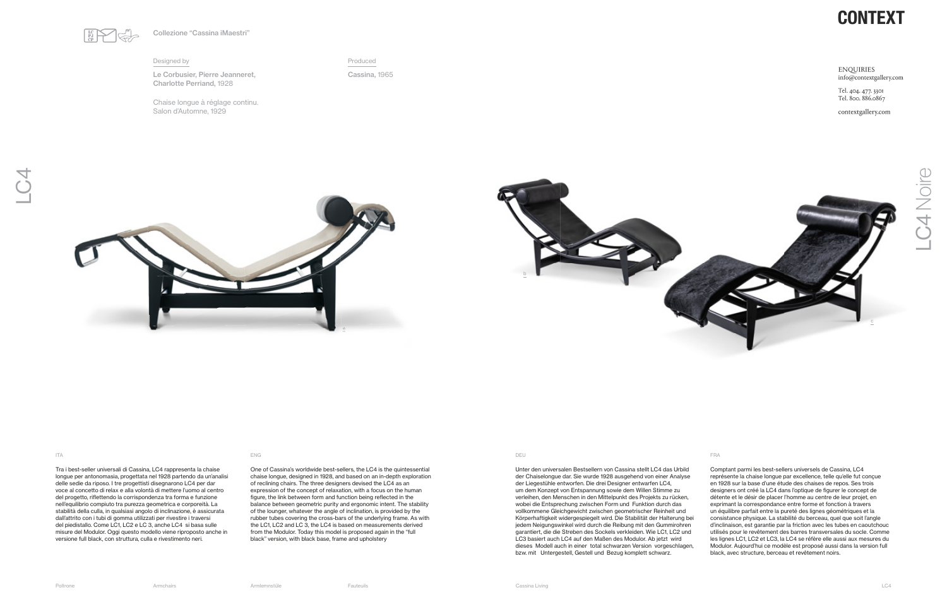Tra i best-seller universali di Cassina, LC4 rappresenta la chaise longue per antonomasia, progettata nel 1928 partendo da un'analisi delle sedie da riposo. I tre progettisti disegnarono LC4 per dar voce al concetto di relax e alla volontà di mettere l'uomo al centro del progetto, riflettendo la corrispondenza tra forma e funzione nell'equilibrio compiuto tra purezza geometrica e corporeità. La stabilità della culla, in qualsiasi angolo di inclinazione, è assicurata dall'attrito con i tubi di gomma utilizzati per rivestire i traversi del piedistallo. Come LC1, LC2 e LC 3, anche LC4 si basa sulle misure del Modulor. Oggi questo modello viene riproposto anche in versione full black, con struttura, culla e rivestimento neri.

One of Cassina's worldwide best-sellers, the LC4 is the quintessential chaise longue, designed in 1928, and based on an in-depth exploration of reclining chairs. The three designers devised the LC4 as an expression of the concept of relaxation, with a focus on the human figure, the link between form and function being reflected in the balance between geometric purity and ergonomic intent. The stability of the lounger, whatever the angle of inclination, is provided by the rubber tubes covering the cross-bars of the underlying frame. As with the LC1, LC2 and LC 3, the LC4 is based on measurements derived from the Modulor. Today this model is proposed again in the "full black" version, with black base, frame and upholstery

Unter den universalen Bestsellern von Cassina stellt LC4 das Urbild der Chaiselongue dar. Sie wurde 1928 ausgehend von einer Analyse der Liegestühle entworfen. Die drei Designer entwarfen LC4, um dem Konzept von Entspannung sowie dem Willen Stimme zu verleihen, den Menschen in den Mittelpunkt des Projekts zu rücken, wobei die Entsprechung zwischen Form und Funktion durch das vollkommene Gleichgewicht zwischen geometrischer Reinheit und Körperhaftigkeit widergespiegelt wird. Die Stabilität der Halterung bei jedem Neigungswinkel wird durch die Reibung mit den Gummirohren garantiert, die die Streben des Sockels verkleiden. Wie LC1, LC2 und LC3 basiert auch LC4 auf den Maßen des Modulor. Ab jetzt wird dieses Modell auch in einer total schwarzen Version vorgeschlagen, bzw. mit Untergestell, Gestell und Bezug komplett schwarz.

# **CONTEXT**

**ENQUIRIES** info@contextgallery.com

Tel. 404. 477. 3301 Tel. 800. 886.0867

contextgallery.com

Comptant parmi les best-sellers universels de Cassina, LC4 représente la chaise longue par excellence, telle qu'elle fut conçue en 1928 sur la base d'une étude des chaises de repos. Ses trois designers ont créé la LC4 dans l'optique de figurer le concept de détente et le désir de placer l'homme au centre de leur projet, en exprimant la correspondance entre forme et fonction à travers un équilibre parfait entre la pureté des lignes géométriques et la consistance physique. La stabilité du berceau, quel que soit l'angle d'inclinaison, est garantie par la friction avec les tubes en caoutchouc utilisés pour le revêtement des barres transversales du socle. Comme les lignes LC1, LC2 et LC3, la LC4 se réfère elle aussi aux mesures du Modulor. Aujourd'hui ce modèle est proposé aussi dans la version full black, avec structure, berceau et revêtement noirs.

### ITA ENG DEU FRA

## Designed by

Le Corbusier, Pierre Jeanneret, Charlotte Perriand, 1928

Produced

Cassina, 1965



Collezione "Cassina iMaestri"

Chaise longue à réglage continu. Salon d'Automne, 1929